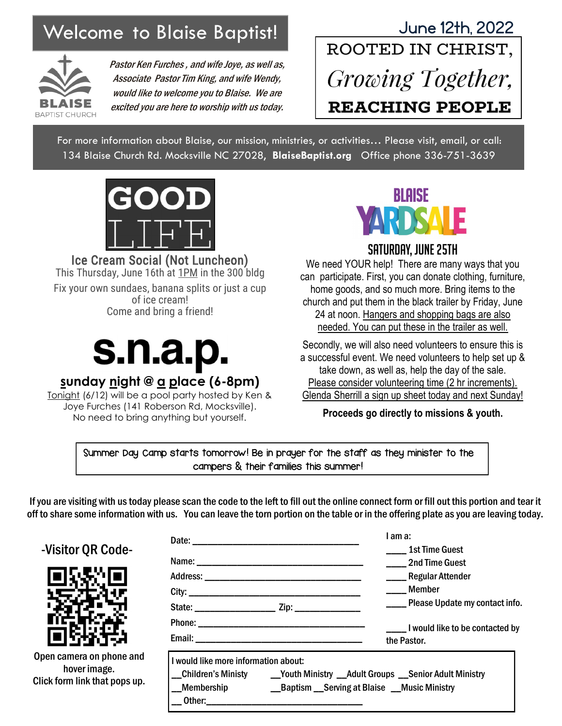

Pastor Ken Furches , and wife Joye, as well as, Associate Pastor Tim King, and wife Wendy, would like to welcome you to Blaise. We are excited you are here to worship with us today.

## Welcome to Blaise Baptist! June 12th, 2022 Growing Together, **REACHING PEOPLE**

For more information about Blaise, our mission, ministries, or activities… Please visit, email, or call: 134 Blaise Church Rd. Mocksville NC 27028, **BlaiseBaptist.org** Office phone 336-751-3639



Ice Cream Social (Not Luncheon) This Thursday, June 16th at 1PM in the 300 bldg Fix your own sundaes, banana splits or just a cup of ice cream! Come and bring a friend!



#### **sunday night @ a place (6-8pm)**

Tonight (6/12) will be a pool party hosted by Ken & Joye Furches (141 Roberson Rd, Mocksville). No need to bring anything but yourself.



#### Saturday, June 25th

We need YOUR help! There are many ways that you can participate. First, you can donate clothing, furniture, home goods, and so much more. Bring items to the church and put them in the black trailer by Friday, June 24 at noon. Hangers and shopping bags are also needed. You can put these in the trailer as well.

Secondly, we will also need volunteers to ensure this is a successful event. We need volunteers to help set up & take down, as well as, help the day of the sale. Please consider volunteering time (2 hr increments). Glenda Sherrill a sign up sheet today and next Sunday!

**Proceeds go directly to missions & youth.**

Summer Day Camp starts tomorrow! Be in prayer for the staff as they minister to the campers & their families this summer!

If you are visiting with us today please scan the code to the left to fill out the online connect form or fill out this portion and tear it off to share some information with us. You can leave the torn portion on the table or in the offering plate as you are leaving today.

|       |                                      |  | l am a:                                                                                                                          |  |
|-------|--------------------------------------|--|----------------------------------------------------------------------------------------------------------------------------------|--|
| ⊋–    |                                      |  | <b>1st Time Guest</b><br>2nd Time Guest                                                                                          |  |
|       |                                      |  | ____Regular Attender<br>Member                                                                                                   |  |
|       |                                      |  | ____ Please Update my contact info.                                                                                              |  |
|       |                                      |  | ______ I would like to be contacted by<br>the Pastor.                                                                            |  |
| e and | I would like more information about: |  |                                                                                                                                  |  |
| s up. | __Membership                         |  | _Children's Ministy _____Youth Ministry __Adult Groups __Senior Adult Ministry<br>__Baptism __Serving at Blaise __Music Ministry |  |

#### -Visitor QR Code-



Open camera on phone hover image. Click form link that pop